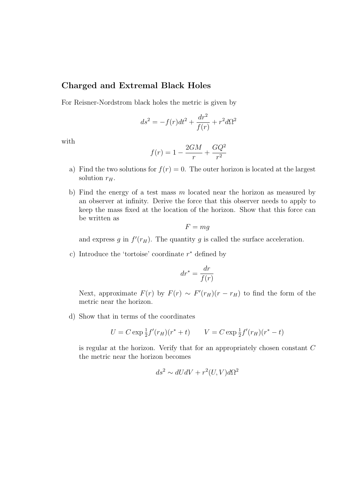## Charged and Extremal Black Holes

For Reisner-Nordstrom black holes the metric is given by

$$
ds^2 = -f(r)dt^2 + \frac{dr^2}{f(r)} + r^2d\Omega^2
$$

with

$$
f(r)=1-\frac{2GM}{r}+\frac{GQ^2}{r^2}
$$

- a) Find the two solutions for  $f(r) = 0$ . The outer horizon is located at the largest solution  $r_H$ .
- b) Find the energy of a test mass  $m$  located near the horizon as measured by an observer at infinity. Derive the force that this observer needs to apply to keep the mass fixed at the location of the horizon. Show that this force can be written as

$$
F = mg
$$

and express g in  $f'(r_H)$ . The quantity g is called the surface acceleration.

c) Introduce the 'tortoise' coordinate  $r^*$  defined by

$$
dr^* = \frac{dr}{f(r)}
$$

Next, approximate  $F(r)$  by  $F(r) \sim F'(r_H)(r - r_H)$  to find the form of the metric near the horizon.

d) Show that in terms of the coordinates

$$
U = C \exp \frac{1}{2} f'(r_H)(r^* + t) \qquad V = C \exp \frac{1}{2} f'(r_H)(r^* - t)
$$

is regular at the horizon. Verify that for an appropriately chosen constant C the metric near the horizon becomes

$$
ds^2 \sim dUdV + r^2(U, V)d\Omega^2
$$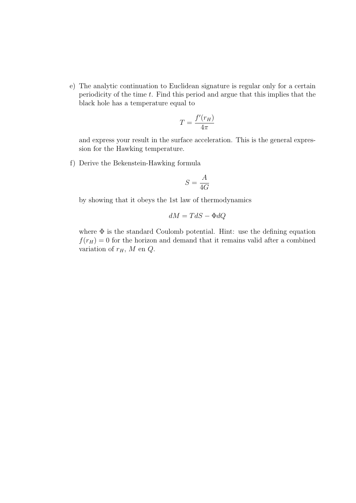e) The analytic continuation to Euclidean signature is regular only for a certain periodicity of the time  $t$ . Find this period and argue that this implies that the black hole has a temperature equal to

$$
T = \frac{f'(r_H)}{4\pi}
$$

and express your result in the surface acceleration. This is the general expression for the Hawking temperature.

f) Derive the Bekenstein-Hawking formula

$$
S = \frac{A}{4G}
$$

by showing that it obeys the 1st law of thermodynamics

$$
dM = TdS - \Phi dQ
$$

where  $\Phi$  is the standard Coulomb potential. Hint: use the defining equation  $f(r_H) = 0$  for the horizon and demand that it remains valid after a combined variation of  $r_H$ , M en  $Q$ .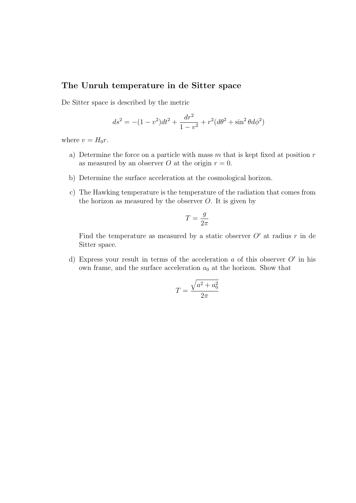## The Unruh temperature in de Sitter space

De Sitter space is described by the metric

$$
ds^{2} = -(1 - v^{2})dt^{2} + \frac{dr^{2}}{1 - v^{2}} + r^{2}(d\theta^{2} + \sin^{2}\theta d\phi^{2})
$$

where  $v = H_0 r$ .

- a) Determine the force on a particle with mass  $m$  that is kept fixed at position  $r$ as measured by an observer O at the origin  $r = 0$ .
- b) Determine the surface acceleration at the cosmological horizon.
- c) The Hawking temperature is the temperature of the radiation that comes from the horizon as measured by the observer  $O$ . It is given by

$$
T=\frac{g}{2\pi}
$$

Find the temperature as measured by a static observer  $O'$  at radius r in de Sitter space.

d) Express your result in terms of the acceleration  $a$  of this observer  $O'$  in his own frame, and the surface acceleration  $a_0$  at the horizon. Show that

$$
T = \frac{\sqrt{a^2 + a_0^2}}{2\pi}
$$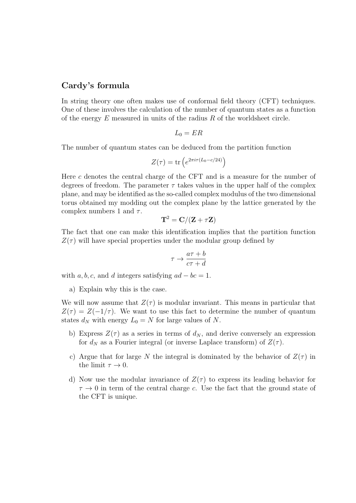## Cardy's formula

In string theory one often makes use of conformal field theory (CFT) techniques. One of these involves the calculation of the number of quantum states as a function of the energy  $E$  measured in units of the radius  $R$  of the worldsheet circle.

$$
L_0=ER
$$

The number of quantum states can be deduced from the partition function

$$
Z(\tau) = \text{tr}\left(e^{2\pi i \tau (L_0 - c/24)}\right)
$$

Here c denotes the central charge of the CFT and is a measure for the number of degrees of freedom. The parameter  $\tau$  takes values in the upper half of the complex plane, and may be identified as the so-called complex modulus of the two dimensional torus obtained my modding out the complex plane by the lattice generated by the complex numbers 1 and  $\tau$ .

$$
\mathbf{T}^2 = \mathbf{C}/(\mathbf{Z} + \tau \mathbf{Z})
$$

The fact that one can make this identification implies that the partition function  $Z(\tau)$  will have special properties under the modular group defined by

$$
\tau \to \frac{a\tau + b}{c\tau + d}
$$

with a, b, c, and d integers satisfying  $ad - bc = 1$ .

a) Explain why this is the case.

We will now assume that  $Z(\tau)$  is modular invariant. This means in particular that  $Z(\tau) = Z(-1/\tau)$ . We want to use this fact to determine the number of quantum states  $d_N$  with energy  $L_0 = N$  for large values of N.

- b) Express  $Z(\tau)$  as a series in terms of  $d_N$ , and derive conversely an expression for  $d_N$  as a Fourier integral (or inverse Laplace transform) of  $Z(\tau)$ .
- c) Argue that for large N the integral is dominated by the behavior of  $Z(\tau)$  in the limit  $\tau \to 0$ .
- d) Now use the modular invariance of  $Z(\tau)$  to express its leading behavior for  $\tau \to 0$  in term of the central charge c. Use the fact that the ground state of the CFT is unique.